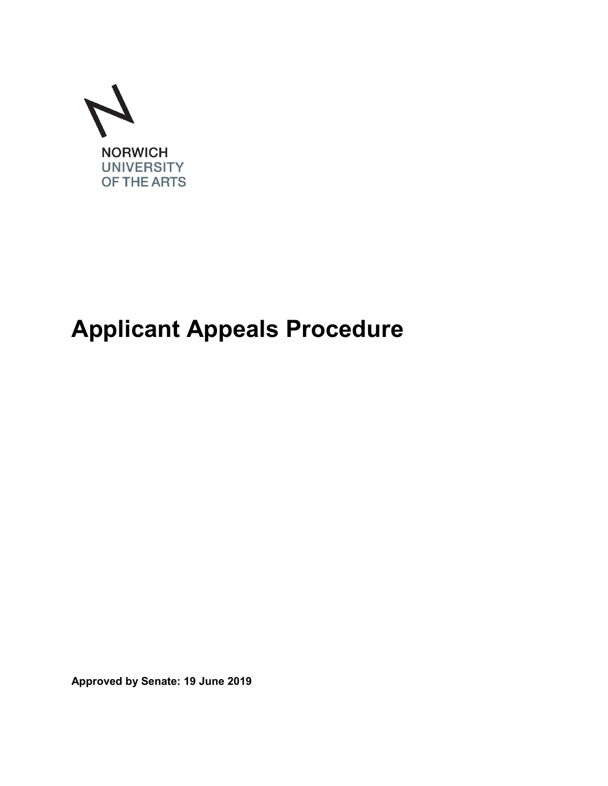

# **Applicant Appeals Procedure**

**Approved by Senate: 19 June 2019**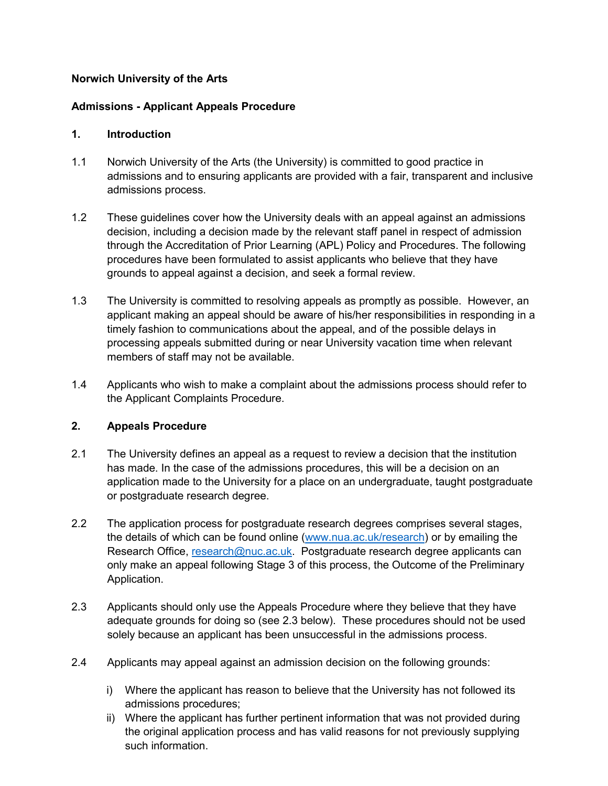## **Norwich University of the Arts**

## **Admissions - Applicant Appeals Procedure**

#### **1. Introduction**

- 1.1 Norwich University of the Arts (the University) is committed to good practice in admissions and to ensuring applicants are provided with a fair, transparent and inclusive admissions process.
- 1.2 These guidelines cover how the University deals with an appeal against an admissions decision, including a decision made by the relevant staff panel in respect of admission through the Accreditation of Prior Learning (APL) Policy and Procedures. The following procedures have been formulated to assist applicants who believe that they have grounds to appeal against a decision, and seek a formal review.
- 1.3 The University is committed to resolving appeals as promptly as possible. However, an applicant making an appeal should be aware of his/her responsibilities in responding in a timely fashion to communications about the appeal, and of the possible delays in processing appeals submitted during or near University vacation time when relevant members of staff may not be available.
- 1.4 Applicants who wish to make a complaint about the admissions process should refer to the Applicant Complaints Procedure.

#### **2. Appeals Procedure**

- 2.1 The University defines an appeal as a request to review a decision that the institution has made. In the case of the admissions procedures, this will be a decision on an application made to the University for a place on an undergraduate, taught postgraduate or postgraduate research degree.
- 2.2 The application process for postgraduate research degrees comprises several stages, the details of which can be found online [\(www.nua.ac.uk/research\)](http://www.nua.ac.uk/research) or by emailing the Research Office, [research@nuc.ac.uk.](mailto:research@nuc.ac.uk) Postgraduate research degree applicants can only make an appeal following Stage 3 of this process, the Outcome of the Preliminary Application.
- 2.3 Applicants should only use the Appeals Procedure where they believe that they have adequate grounds for doing so (see 2.3 below). These procedures should not be used solely because an applicant has been unsuccessful in the admissions process.
- 2.4 Applicants may appeal against an admission decision on the following grounds:
	- i) Where the applicant has reason to believe that the University has not followed its admissions procedures;
	- ii) Where the applicant has further pertinent information that was not provided during the original application process and has valid reasons for not previously supplying such information.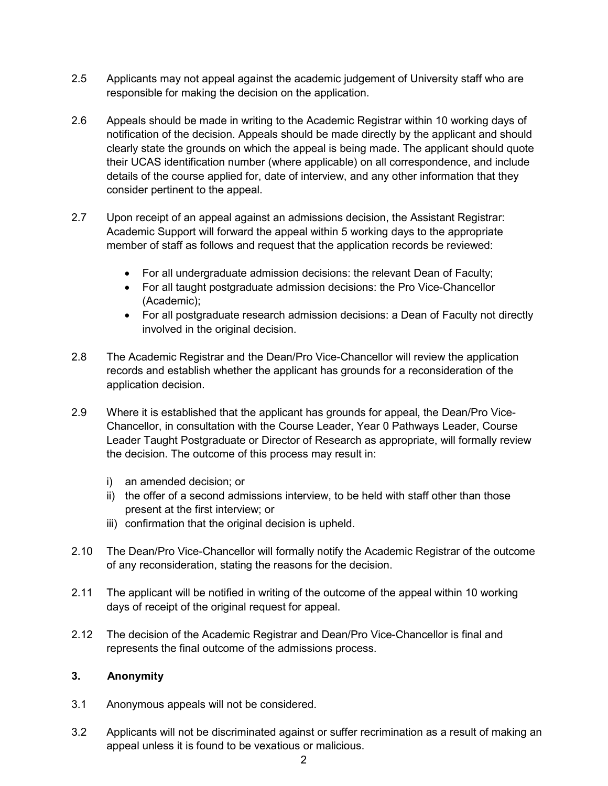- 2.5 Applicants may not appeal against the academic judgement of University staff who are responsible for making the decision on the application.
- 2.6 Appeals should be made in writing to the Academic Registrar within 10 working days of notification of the decision. Appeals should be made directly by the applicant and should clearly state the grounds on which the appeal is being made. The applicant should quote their UCAS identification number (where applicable) on all correspondence, and include details of the course applied for, date of interview, and any other information that they consider pertinent to the appeal.
- 2.7 Upon receipt of an appeal against an admissions decision, the Assistant Registrar: Academic Support will forward the appeal within 5 working days to the appropriate member of staff as follows and request that the application records be reviewed:
	- For all undergraduate admission decisions: the relevant Dean of Faculty;
	- For all taught postgraduate admission decisions: the Pro Vice-Chancellor (Academic);
	- For all postgraduate research admission decisions: a Dean of Faculty not directly involved in the original decision.
- 2.8 The Academic Registrar and the Dean/Pro Vice-Chancellor will review the application records and establish whether the applicant has grounds for a reconsideration of the application decision.
- 2.9 Where it is established that the applicant has grounds for appeal, the Dean/Pro Vice-Chancellor, in consultation with the Course Leader, Year 0 Pathways Leader, Course Leader Taught Postgraduate or Director of Research as appropriate, will formally review the decision. The outcome of this process may result in:
	- i) an amended decision; or
	- ii) the offer of a second admissions interview, to be held with staff other than those present at the first interview; or
	- iii) confirmation that the original decision is upheld.
- 2.10 The Dean/Pro Vice-Chancellor will formally notify the Academic Registrar of the outcome of any reconsideration, stating the reasons for the decision.
- 2.11 The applicant will be notified in writing of the outcome of the appeal within 10 working days of receipt of the original request for appeal.
- 2.12 The decision of the Academic Registrar and Dean/Pro Vice-Chancellor is final and represents the final outcome of the admissions process.

#### **3. Anonymity**

- 3.1 Anonymous appeals will not be considered.
- 3.2 Applicants will not be discriminated against or suffer recrimination as a result of making an appeal unless it is found to be vexatious or malicious.